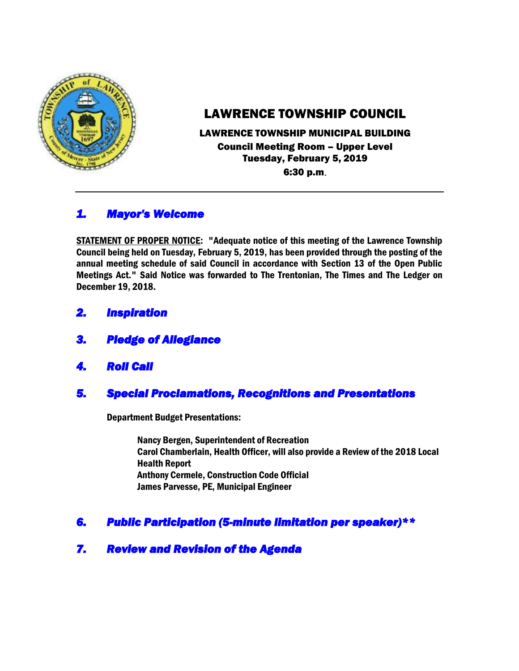

## LAWRENCE TOWNSHIP COUNCIL

# LAWRENCE TOWNSHIP MUNICIPAL BUILDING Council Meeting Room – Upper Level Tuesday, February 5, 2019

6:30 p.m.

## *1. Mayor's Welcome*

STATEMENT OF PROPER NOTICE: "Adequate notice of this meeting of the Lawrence Township Council being held on Tuesday, February 5, 2019, has been provided through the posting of the annual meeting schedule of said Council in accordance with Section 13 of the Open Public Meetings Act." Said Notice was forwarded to The Trentonian, The Times and The Ledger on December 19, 2018.

- *2. Inspiration*
- *3. Pledge of Allegiance*
- *4. Roll Call*

### *5. Special Proclamations, Recognitions and Presentations*

Department Budget Presentations:

Nancy Bergen, Superintendent of Recreation Carol Chamberlain, Health Officer, will also provide a Review of the 2018 Local Health Report Anthony Cermele, Construction Code Official James Parvesse, PE, Municipal Engineer

### *6. Public Participation (5-minute limitation per speaker)\*\**

### *7. Review and Revision of the Agenda*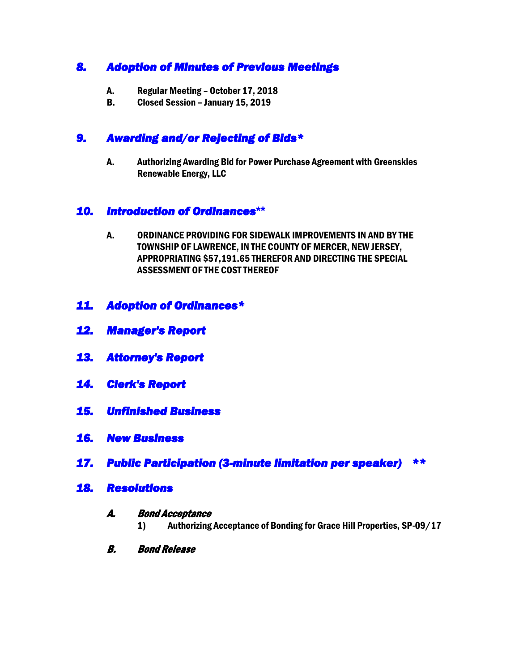## *8. Adoption of Minutes of Previous Meetings*

- A. Regular Meeting October 17, 2018
- B. Closed Session January 15, 2019

## *9. Awarding and/or Rejecting of Bids\**

A. Authorizing Awarding Bid for Power Purchase Agreement with Greenskies Renewable Energy, LLC

#### *10. Introduction of Ordinances***\*\***

- A. ORDINANCE PROVIDING FOR SIDEWALK IMPROVEMENTS IN AND BY THE TOWNSHIP OF LAWRENCE, IN THE COUNTY OF MERCER, NEW JERSEY, APPROPRIATING \$57,191.65 THEREFOR AND DIRECTING THE SPECIAL ASSESSMENT OF THE COST THEREOF
- *11. Adoption of Ordinances\**
- *12. Manager's Report*
- *13. Attorney's Report*
- *14. Clerk's Report*
- *15. Unfinished Business*
- *16. New Business*
- *17. Public Participation (3-minute limitation per speaker) \*\**
- *18. Resolutions*

#### A. Bond Acceptance

- 1) Authorizing Acceptance of Bonding for Grace Hill Properties, SP-09/17
- B. Bond Release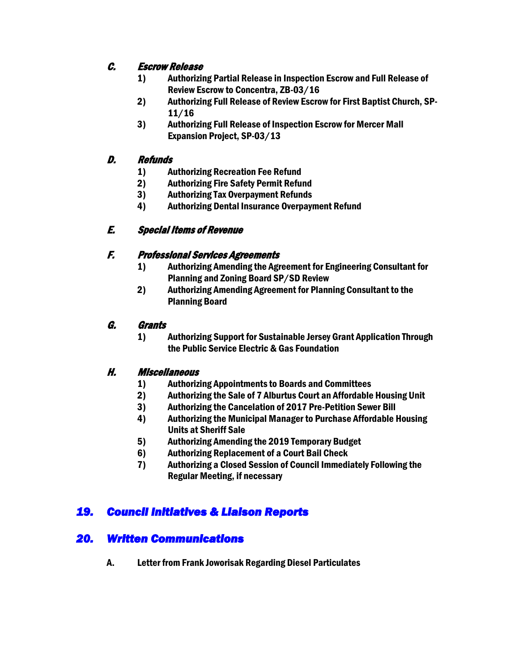### C. Escrow Release

- 1) Authorizing Partial Release in Inspection Escrow and Full Release of Review Escrow to Concentra, ZB-03/16
- 2) Authorizing Full Release of Review Escrow for First Baptist Church, SP-11/16
- 3) Authorizing Full Release of Inspection Escrow for Mercer Mall Expansion Project, SP-03/13

#### D. Refunds

- 1) Authorizing Recreation Fee Refund
- 2) Authorizing Fire Safety Permit Refund
- 3) Authorizing Tax Overpayment Refunds
- 4) Authorizing Dental Insurance Overpayment Refund

### E. Special Items of Revenue

#### F. Professional Services Agreements

- 1) Authorizing Amending the Agreement for Engineering Consultant for Planning and Zoning Board SP/SD Review
- 2) Authorizing Amending Agreement for Planning Consultant to the Planning Board

#### G. Grants

1) Authorizing Support for Sustainable Jersey Grant Application Through the Public Service Electric & Gas Foundation

#### H. Miscellaneous

- 1) Authorizing Appointments to Boards and Committees
- 2) Authorizing the Sale of 7 Alburtus Court an Affordable Housing Unit
- 3) Authorizing the Cancelation of 2017 Pre-Petition Sewer Bill
- 4) Authorizing the Municipal Manager to Purchase Affordable Housing Units at Sheriff Sale
- 5) Authorizing Amending the 2019 Temporary Budget
- 6) Authorizing Replacement of a Court Bail Check
- 7) Authorizing a Closed Session of Council Immediately Following the Regular Meeting, if necessary

## *19. Council Initiatives & Liaison Reports*

### *20. Written Communications*

A. Letter from Frank Joworisak Regarding Diesel Particulates